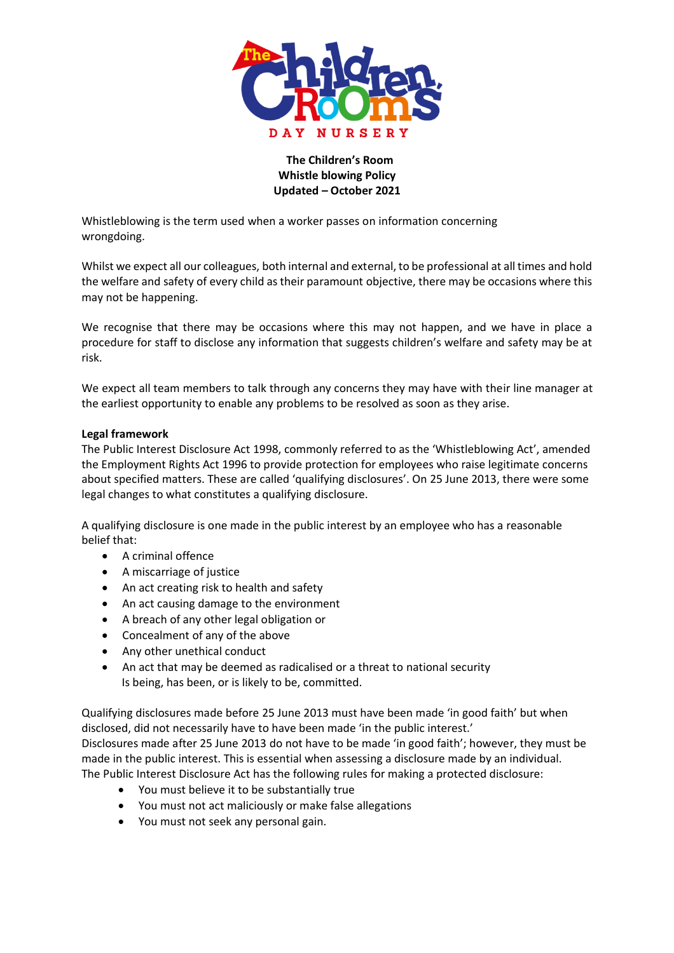

## **The Children's Room Whistle blowing Policy Updated – October 2021**

Whistleblowing is the term used when a worker passes on information concerning wrongdoing.

Whilst we expect all our colleagues, both internal and external, to be professional at all times and hold the welfare and safety of every child as their paramount objective, there may be occasions where this may not be happening.

We recognise that there may be occasions where this may not happen, and we have in place a procedure for staff to disclose any information that suggests children's welfare and safety may be at risk.

We expect all team members to talk through any concerns they may have with their line manager at the earliest opportunity to enable any problems to be resolved as soon as they arise.

## **Legal framework**

The Public Interest Disclosure Act 1998, commonly referred to as the 'Whistleblowing Act', amended the Employment Rights Act 1996 to provide protection for employees who raise legitimate concerns about specified matters. These are called 'qualifying disclosures'. On 25 June 2013, there were some legal changes to what constitutes a qualifying disclosure.

A qualifying disclosure is one made in the public interest by an employee who has a reasonable belief that:

- A criminal offence
- A miscarriage of justice
- An act creating risk to health and safety
- An act causing damage to the environment
- A breach of any other legal obligation or
- Concealment of any of the above
- Any other unethical conduct
- An act that may be deemed as radicalised or a threat to national security Is being, has been, or is likely to be, committed.

Qualifying disclosures made before 25 June 2013 must have been made 'in good faith' but when disclosed, did not necessarily have to have been made 'in the public interest.' Disclosures made after 25 June 2013 do not have to be made 'in good faith'; however, they must be

made in the public interest. This is essential when assessing a disclosure made by an individual. The Public Interest Disclosure Act has the following rules for making a protected disclosure:

- You must believe it to be substantially true
- You must not act maliciously or make false allegations
- You must not seek any personal gain.